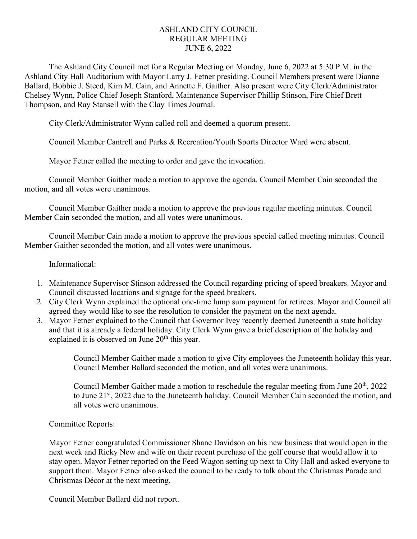## ASHLAND CITY COUNCIL REGULAR MEETING JUNE 6, 2022

The Ashland City Council met for a Regular Meeting on Monday, June 6, 2022 at 5:30 P.M. in the Ashland City Hall Auditorium with Mayor Larry J. Fetner presiding. Council Members present were Dianne Ballard, Bobbie J. Steed, Kim M. Cain, and Annette F. Gaither. Also present were City Clerk/Administrator Chelsey Wynn, Police Chief Joseph Stanford, Maintenance Supervisor Phillip Stinson, Fire Chief Brett Thompson, and Ray Stansell with the Clay Times Journal.

City Clerk/Administrator Wynn called roll and deemed a quorum present.

Council Member Cantrell and Parks & Recreation/Youth Sports Director Ward were absent.

Mayor Fetner called the meeting to order and gave the invocation.

Council Member Gaither made a motion to approve the agenda. Council Member Cain seconded the motion, and all votes were unanimous.

Council Member Gaither made a motion to approve the previous regular meeting minutes. Council Member Cain seconded the motion, and all votes were unanimous.

Council Member Cain made a motion to approve the previous special called meeting minutes. Council Member Gaither seconded the motion, and all votes were unanimous.

Informational:

- 1. Maintenance Supervisor Stinson addressed the Council regarding pricing of speed breakers. Mayor and Council discussed locations and signage for the speed breakers.
- 2. City Clerk Wynn explained the optional one-time lump sum payment for retirees. Mayor and Council all agreed they would like to see the resolution to consider the payment on the next agenda.
- 3. Mayor Fetner explained to the Council that Governor Ivey recently deemed Juneteenth a state holiday and that it is already a federal holiday. City Clerk Wynn gave a brief description of the holiday and explained it is observed on June  $20<sup>th</sup>$  this year.

Council Member Gaither made a motion to give City employees the Juneteenth holiday this year. Council Member Ballard seconded the motion, and all votes were unanimous.

Council Member Gaither made a motion to reschedule the regular meeting from June  $20<sup>th</sup>$ ,  $2022$ to June 21<sup>st</sup>, 2022 due to the Juneteenth holiday. Council Member Cain seconded the motion, and all votes were unanimous.

Committee Reports:

Mayor Fetner congratulated Commissioner Shane Davidson on his new business that would open in the next week and Ricky New and wife on their recent purchase of the golf course that would allow it to stay open. Mayor Fetner reported on the Feed Wagon setting up next to City Hall and asked everyone to support them. Mayor Fetner also asked the council to be ready to talk about the Christmas Parade and Christmas Décor at the next meeting.

Council Member Ballard did not report.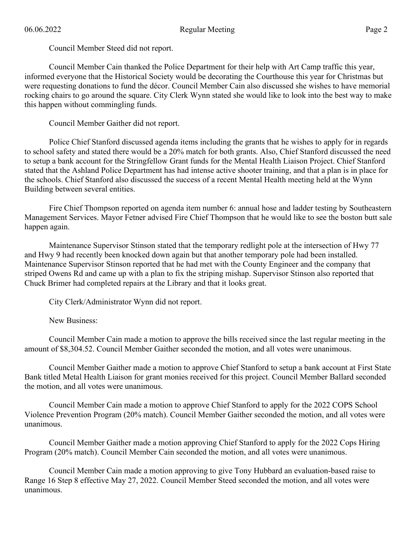Council Member Steed did not report.

Council Member Cain thanked the Police Department for their help with Art Camp traffic this year, informed everyone that the Historical Society would be decorating the Courthouse this year for Christmas but were requesting donations to fund the décor. Council Member Cain also discussed she wishes to have memorial rocking chairs to go around the square. City Clerk Wynn stated she would like to look into the best way to make this happen without commingling funds.

Council Member Gaither did not report.

Police Chief Stanford discussed agenda items including the grants that he wishes to apply for in regards to school safety and stated there would be a 20% match for both grants. Also, Chief Stanford discussed the need to setup a bank account for the Stringfellow Grant funds for the Mental Health Liaison Project. Chief Stanford stated that the Ashland Police Department has had intense active shooter training, and that a plan is in place for the schools. Chief Stanford also discussed the success of a recent Mental Health meeting held at the Wynn Building between several entities.

Fire Chief Thompson reported on agenda item number 6: annual hose and ladder testing by Southeastern Management Services. Mayor Fetner advised Fire Chief Thompson that he would like to see the boston butt sale happen again.

Maintenance Supervisor Stinson stated that the temporary redlight pole at the intersection of Hwy 77 and Hwy 9 had recently been knocked down again but that another temporary pole had been installed. Maintenance Supervisor Stinson reported that he had met with the County Engineer and the company that striped Owens Rd and came up with a plan to fix the striping mishap. Supervisor Stinson also reported that Chuck Brimer had completed repairs at the Library and that it looks great.

City Clerk/Administrator Wynn did not report.

New Business:

Council Member Cain made a motion to approve the bills received since the last regular meeting in the amount of \$8,304.52. Council Member Gaither seconded the motion, and all votes were unanimous.

Council Member Gaither made a motion to approve Chief Stanford to setup a bank account at First State Bank titled Metal Health Liaison for grant monies received for this project. Council Member Ballard seconded the motion, and all votes were unanimous.

Council Member Cain made a motion to approve Chief Stanford to apply for the 2022 COPS School Violence Prevention Program (20% match). Council Member Gaither seconded the motion, and all votes were unanimous.

Council Member Gaither made a motion approving Chief Stanford to apply for the 2022 Cops Hiring Program (20% match). Council Member Cain seconded the motion, and all votes were unanimous.

Council Member Cain made a motion approving to give Tony Hubbard an evaluation-based raise to Range 16 Step 8 effective May 27, 2022. Council Member Steed seconded the motion, and all votes were unanimous.